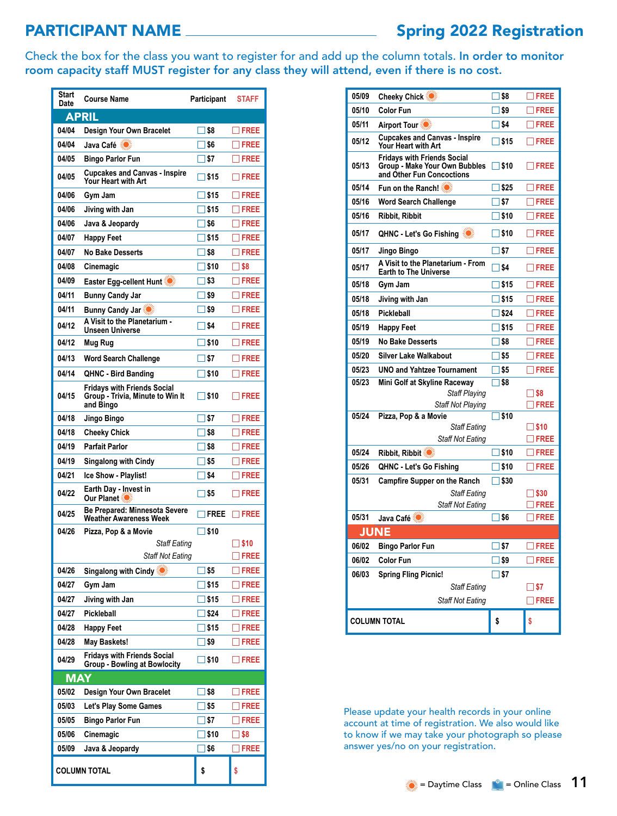## PARTICIPANT NAME Spring 2022 Registration

Check the box for the class you want to register for and add up the column totals. In order to monitor room capacity staff MUST register for any class they will attend, even if there is no cost.

| Start<br>Date       | <b>Course Name</b>                                                                  | <b>Participant</b>            | <b>STAFF</b>   |  |
|---------------------|-------------------------------------------------------------------------------------|-------------------------------|----------------|--|
| <b>APRIL</b>        |                                                                                     |                               |                |  |
| 04/04               | Design Your Own Bracelet                                                            | ∃\$8                          | $\Box$ FREE    |  |
| 04/04               |                                                                                     | ∃\$6                          | $\neg$ FREE    |  |
| 04/05               | <b>Bingo Parlor Fun</b>                                                             | ∐ \$7                         | $\Box$ FREE    |  |
| 04/05               | <b>Cupcakes and Canvas - Inspire</b><br>Your Heart with Art                         | ∃\$15                         | $\sqcap$ free  |  |
| 04/06               | Gym Jam                                                                             | ∃\$15                         | $\sqcap$ FREE  |  |
| 04/06               | Jiving with Jan                                                                     | $\Box$ \$15                   | $\Box$ Free    |  |
| 04/06               | Java & Jeopardy                                                                     | ∏ \$6                         | $\sqcap$ FREE  |  |
| 04/07               | <b>Happy Feet</b>                                                                   | $\Box$ \$15                   | $\Box$ Free    |  |
| 04/07               | <b>No Bake Desserts</b>                                                             | I I \$8                       | $\neg$ FREE    |  |
| 04/08               | Cinemagic                                                                           | $\Box$ \$10                   | $\square$ \$8  |  |
| 04/09               | Easter Egg-cellent Hunt                                                             | $\Box$ \$3                    | $\sqcap$ FREE  |  |
| 04/11               | <b>Bunny Candy Jar</b>                                                              | $\Box$ \$9                    | $\Box$ FREE    |  |
| 04/11               | <b>Bunny Candy Jar</b>                                                              | $\Box$ \$9                    | $\neg$ FREE    |  |
| 04/12               | A Visit to the Planetarium -<br>Unseen Universe                                     | $\Box$ \$4                    | $\neg$ FREE    |  |
| 04/12               | Mug Rug                                                                             | $\Box$ \$10                   | $\Box$ FREE    |  |
| 04/13               | <b>Word Search Challenge</b>                                                        | l IS 7                        | $\Box$ FREE    |  |
| 04/14               | <b>QHNC - Bird Banding</b>                                                          | $\Box$ \$10                   | $\Box$ Free    |  |
| 04/15               | <b>Fridavs with Friends Social</b><br>Group - Trivia, Minute to Win It<br>and Bingo | $\Box$ \$10                   | $\square$ FREE |  |
| 04/18               | Jingo Bingo                                                                         | $\square$ \$7                 | $\Box$ FREE    |  |
| 04/18               | <b>Cheeky Chick</b>                                                                 | ∏\$8                          | $\neg$ FREE    |  |
| 04/19               | <b>Parfait Parlor</b>                                                               | $\Box$ \$8                    | $\Box$ FREE    |  |
| 04/19               | <b>Singalong with Cindy</b>                                                         | $\Box$ \$5                    | $\sqcap$ FREE  |  |
| 04/21               | Ice Show - Playlist!                                                                | $\square$ \$4                 | $\sqcap$ FREE  |  |
| 04/22               | Earth Day - Invest in<br><b>Our Planet iO</b>                                       | $\square$ \$5                 | $\sqcap$ free  |  |
| 04/25               | <b>Be Prepared: Minnesota Severe</b><br><b>Weather Awareness Week</b>               | $\sqcap$ FREE                 | <b>IFREE</b>   |  |
| 04/26               | Pizza, Pop & a Movie                                                                | $\square$ \$10                |                |  |
|                     | Staff Eating                                                                        |                               | \$10           |  |
|                     | <b>Staff Not Eating</b>                                                             |                               | 1 FREE         |  |
| 04/26               | <b>Singalong with Cindy</b>                                                         | $\square$ \$5                 | <b>FREE</b>    |  |
| 04/27               | Gym Jam                                                                             | \$15                          | FREE           |  |
| 04/27               | Jiving with Jan                                                                     | <b>S</b> 15                   | <b>FREE</b>    |  |
| 04/27               | Pickleball                                                                          | $\overline{\phantom{a}}$ \$24 | <b>FREE</b>    |  |
| 04/28               | <b>Happy Feet</b>                                                                   | ∃ \$15                        | <b>IFREE</b>   |  |
| 04/28               | May Baskets!                                                                        | ] \$9                         | <b>FREE</b>    |  |
| 04/29               | <b>Fridays with Friends Social</b><br><b>Group - Bowling at Bowlocity</b>           | $\square$ \$10                | $\Box$ Free    |  |
| MAY                 |                                                                                     |                               |                |  |
| 05/02               | Design Your Own Bracelet                                                            | ] \$8                         | <b>TFREE</b>   |  |
| 05/03               | Let's Play Some Games                                                               | \$5                           | $\square$ FREE |  |
| 05/05               | Bingo Parlor Fun                                                                    | ∫\$7                          | <b>FREE</b>    |  |
| 05/06               | Cinemagic                                                                           | ∃ \$10                        | _  \$8         |  |
| 05/09               | Java & Jeopardy                                                                     | ∃\$6                          | <b>FREE</b>    |  |
| <b>COLUMN TOTAL</b> |                                                                                     | \$                            | \$             |  |

| 05/09               | <b>Cheeky Chick</b>                                                                              | ∃\$8           | $\Box$ FREE                   |
|---------------------|--------------------------------------------------------------------------------------------------|----------------|-------------------------------|
| 05/10               | <b>Color Fun</b>                                                                                 | $\square$ \$9  | $\exists$ FREE                |
| 05/11               |                                                                                                  | $\square$ \$4  | $\square$ FREE                |
| 05/12               | <b>Cupcakes and Canvas - Inspire</b><br>Your Heart with Art                                      | $\Box$ \$15    | <b>TFREE</b>                  |
| 05/13               | <b>Fridays with Friends Social</b><br>Group - Make Your Own Bubbles<br>and Other Fun Concoctions | $\square$ \$10 | $\Box$ FREE                   |
| 05/14               | Fun on the Ranch! <b>O</b>                                                                       | $\Box$ \$25    | $\Box$ FREE                   |
| 05/16               | <b>Word Search Challenge</b>                                                                     | $\square$ \$7  | $\Box$ FREE                   |
| 05/16               | Ribbit, Ribbit                                                                                   | $\square$ \$10 | $\Box$ FREE                   |
| 05/17               | <b>QHNC - Let's Go Fishing</b>                                                                   | $\square$ \$10 | $\Box$ FREE                   |
| 05/17               | Jingo Bingo                                                                                      | $\Box$ \$7     | $\Box$ FREE                   |
| 05/17               | A Visit to the Planetarium - From<br><b>Earth to The Universe</b>                                | $\Box$ \$4     | $\Box$ FREE                   |
| 05/18               | Gym Jam                                                                                          | $\square$ \$15 | $\Box$ FREE                   |
| 05/18               | Jiving with Jan                                                                                  | $\Box$ \$15    | $\Box$ FREE                   |
| 05/18               | <b>Pickleball</b>                                                                                | $\Box$ \$24    | $\Box$ FREE                   |
| 05/19               | <b>Happy Feet</b>                                                                                | $\square$ \$15 | $\square$ FREE                |
| 05/19               | <b>No Bake Desserts</b>                                                                          | $\square$ \$8  | $\Box$ FREE                   |
| 05/20               | <b>Silver Lake Walkabout</b>                                                                     | $\square$ \$5  | $\square$ FREE                |
| 05/23               | <b>UNO and Yahtzee Tournament</b>                                                                | $\square$ \$5  | $\square$ FREE                |
| 05/23               | Mini Golf at Skyline Raceway                                                                     | ∏\$8           |                               |
|                     | <b>Staff Playing</b><br><b>Staff Not Playing</b>                                                 |                | $\square$ \$8<br><b>TFREE</b> |
| 05/24               | Pizza, Pop & a Movie                                                                             | $\square$ \$10 |                               |
|                     | <b>Staff Eating</b>                                                                              |                | $\square$ \$10                |
|                     | <b>Staff Not Eating</b>                                                                          |                | $\square$ FREE                |
| 05/24               | Ribbit, Ribbit ∛                                                                                 | $\square$ \$10 | $\Box$ FREE                   |
| 05/26               | <b>QHNC - Let's Go Fishing</b>                                                                   | $\square$ \$10 | $\Box$ FREE                   |
| 05/31               | <b>Campfire Supper on the Ranch</b>                                                              | $\square$ \$30 |                               |
|                     | <b>Staff Eating</b>                                                                              |                | $\square$ \$30                |
| 05/31               | <b>Staff Not Eating</b>                                                                          |                | $\Box$ FREE                   |
|                     | Java Café                                                                                        | $\square$ \$6  | $\Box$ FREE                   |
|                     | <b>JUNE</b>                                                                                      |                |                               |
| 06/02               | <b>Bingo Parlor Fun</b>                                                                          | $\square$ \$7  | $\Box$ FREE                   |
| 06/02               | <b>Color Fun</b>                                                                                 | $\square$ \$9  | $\Box$ FREE                   |
| 06/03               | <b>Spring Fling Picnic!</b><br><b>Staff Eating</b>                                               | $\square$ \$7  | ∃\$7                          |
|                     | <b>Staff Not Eating</b>                                                                          |                | <b>TFREE</b>                  |
|                     |                                                                                                  |                |                               |
| <b>COLUMN TOTAL</b> |                                                                                                  | \$             | \$                            |

Please update your health records in your online account at time of registration. We also would like to know if we may take your photograph so please answer yes/no on your registration.